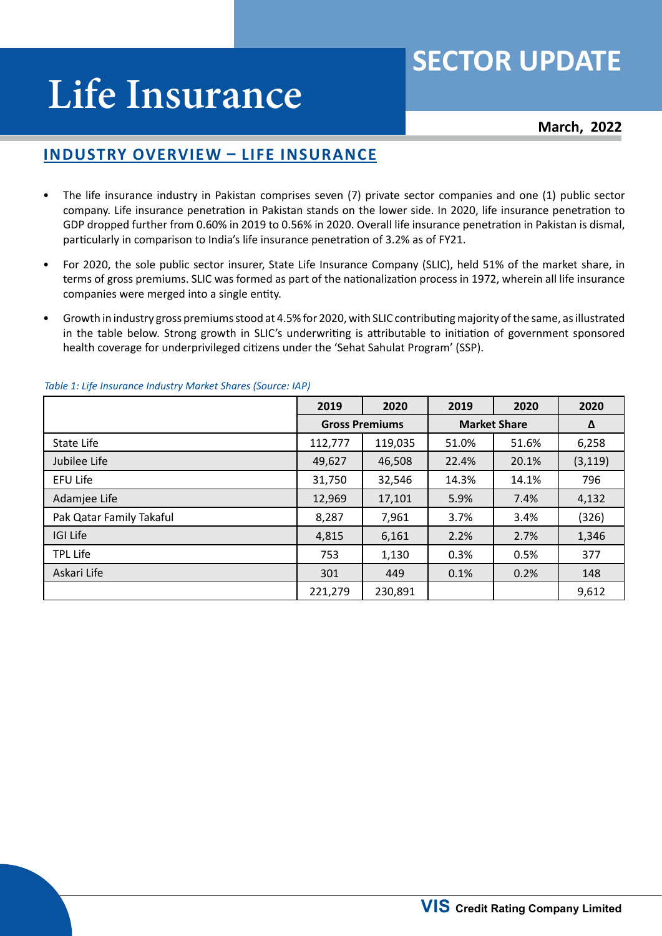# **SECTOR UPDATE**

# **Life Insurance**

**March, 2022**

## **Industry Overview – Life Insurance**

- The life insurance industry in Pakistan comprises seven (7) private sector companies and one (1) public sector company. Life insurance penetration in Pakistan stands on the lower side. In 2020, life insurance penetration to GDP dropped further from 0.60% in 2019 to 0.56% in 2020. Overall life insurance penetration in Pakistan is dismal, particularly in comparison to India's life insurance penetration of 3.2% as of FY21.
- For 2020, the sole public sector insurer, State Life Insurance Company (SLIC), held 51% of the market share, in terms of gross premiums. SLIC was formed as part of the nationalization process in 1972, wherein all life insurance companies were merged into a single entity.
- Growth in industry gross premiums stood at 4.5% for 2020, with SLIC contributing majority of the same, as illustrated in the table below. Strong growth in SLIC's underwriting is attributable to initiation of government sponsored health coverage for underprivileged citizens under the 'Sehat Sahulat Program' (SSP).

|                          | 2019    | 2020                  | 2019                | 2020  | 2020     |
|--------------------------|---------|-----------------------|---------------------|-------|----------|
|                          |         | <b>Gross Premiums</b> | <b>Market Share</b> | Δ     |          |
| State Life               | 112,777 | 119,035               | 51.0%               | 51.6% | 6,258    |
| Jubilee Life             | 49,627  | 46,508                | 22.4%               | 20.1% | (3, 119) |
| EFU Life                 | 31,750  | 32,546                | 14.3%               | 14.1% | 796      |
| Adamjee Life             | 12,969  | 17,101                | 5.9%                | 7.4%  | 4,132    |
| Pak Qatar Family Takaful | 8,287   | 7,961                 | 3.7%                | 3.4%  | (326)    |
| <b>IGI Life</b>          | 4,815   | 6,161                 | 2.2%                | 2.7%  | 1,346    |
| <b>TPL Life</b>          | 753     | 1,130                 | 0.3%                | 0.5%  | 377      |
| Askari Life              | 301     | 449                   | 0.1%                | 0.2%  | 148      |
|                          | 221,279 | 230,891               |                     |       | 9,612    |

#### *Table 1: Life Insurance Industry Market Shares (Source: IAP)*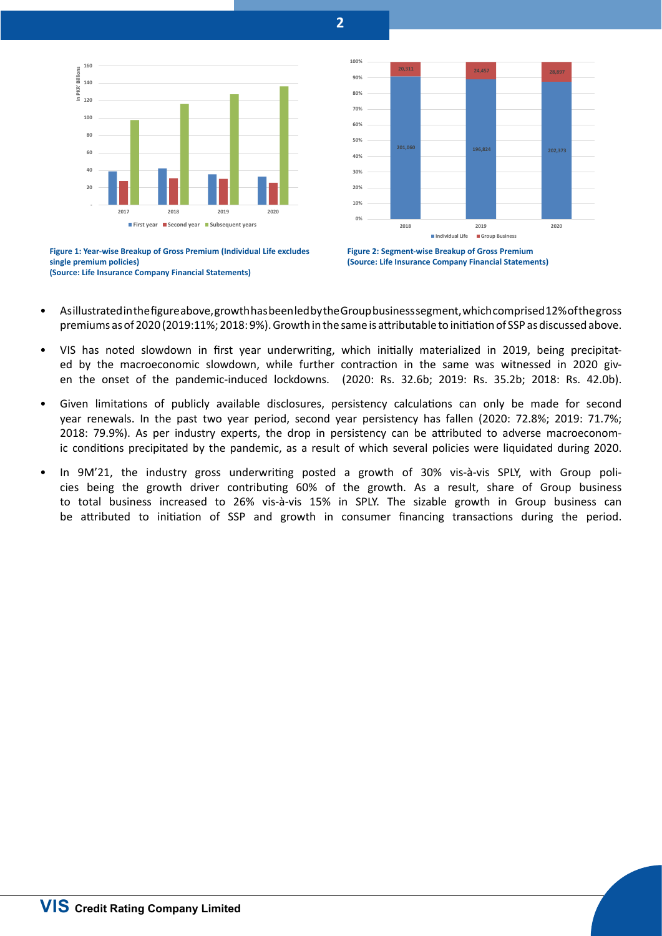**2**

**100%**





**20,311 24,457 28,897** 





- As illustrated in the figure above, growth has been led by the Group business segment, which comprised 12% of the gross premiums as of 2020 (2019:11%; 2018: 9%). Growth in the same is attributable to initiation of SSP as discussed above.
- VIS has noted slowdown in first year underwriting, which initially materialized in 2019, being precipitated by the macroeconomic slowdown, while further contraction in the same was witnessed in 2020 given the onset of the pandemic-induced lockdowns. (2020: Rs. 32.6b; 2019: Rs. 35.2b; 2018: Rs. 42.0b).
- Given limitations of publicly available disclosures, persistency calculations can only be made for second year renewals. In the past two year period, second year persistency has fallen (2020: 72.8%; 2019: 71.7%; 2018: 79.9%). As per industry experts, the drop in persistency can be attributed to adverse macroeconomic conditions precipitated by the pandemic, as a result of which several policies were liquidated during 2020.
- In 9M'21, the industry gross underwriting posted a growth of 30% vis-à-vis SPLY, with Group policies being the growth driver contributing 60% of the growth. As a result, share of Group business to total business increased to 26% vis-à-vis 15% in SPLY. The sizable growth in Group business can be attributed to initiation of SSP and growth in consumer financing transactions during the period.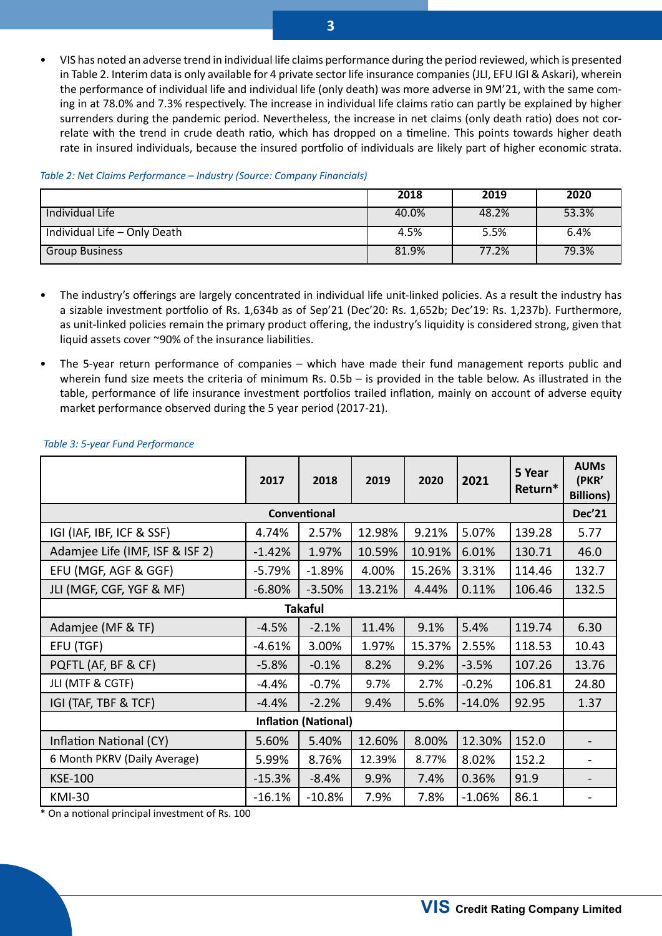• VIS has noted an adverse trend in individual life claims performance during the period reviewed, which is presented in Table 2. Interim data is only available for 4 private sector life insurance companies (JLI, EFU IGI & Askari), wherein the performance of individual life and individual life (only death) was more adverse in 9M'21, with the same coming in at 78.0% and 7.3% respectively. The increase in individual life claims ratio can partly be explained by higher surrenders during the pandemic period. Nevertheless, the increase in net claims (only death ratio) does not correlate with the trend in crude death ratio, which has dropped on a timeline. This points towards higher death rate in insured individuals, because the insured portfolio of individuals are likely part of higher economic strata.

#### *Table 2: Net Claims Performance – Industry (Source: Company Financials)*

|                              | 2018  | 2019  | 2020  |
|------------------------------|-------|-------|-------|
| <b>Individual Life</b>       | 40.0% | 48.2% | 53.3% |
| Individual Life - Only Death | 4.5%  | 5.5%  | 6.4%  |
| <b>Group Business</b>        | 81.9% | 77.2% | 79.3% |

- The industry's offerings are largely concentrated in individual life unit-linked policies. As a result the industry has a sizable investment portfolio of Rs. 1,634b as of Sep'21 (Dec'20: Rs. 1,652b; Dec'19: Rs. 1,237b). Furthermore, as unit-linked policies remain the primary product offering, the industry's liquidity is considered strong, given that liquid assets cover ~90% of the insurance liabilities.
- The 5-year return performance of companies which have made their fund management reports public and wherein fund size meets the criteria of minimum Rs. 0.5b – is provided in the table below. As illustrated in the table, performance of life insurance investment portfolios trailed inflation, mainly on account of adverse equity market performance observed during the 5 year period (2017-21).

|                                 | 2017     | 2018     | 2019   | 2020   | 2021     | 5 Year<br>Return* | <b>AUMs</b><br>(PKR'<br><b>Billions)</b> |
|---------------------------------|----------|----------|--------|--------|----------|-------------------|------------------------------------------|
| Conventional                    |          |          |        |        |          |                   |                                          |
| IGI (IAF, IBF, ICF & SSF)       | 4.74%    | 2.57%    | 12.98% | 9.21%  | 5.07%    | 139.28            | 5.77                                     |
| Adamjee Life (IMF, ISF & ISF 2) | $-1.42%$ | 1.97%    | 10.59% | 10.91% | 6.01%    | 130.71            | 46.0                                     |
| EFU (MGF, AGF & GGF)            | $-5.79%$ | $-1.89%$ | 4.00%  | 15.26% | 3.31%    | 114.46            | 132.7                                    |
| JLI (MGF, CGF, YGF & MF)        | $-6.80%$ | $-3.50%$ | 13.21% | 4.44%  | 0.11%    | 106.46            | 132.5                                    |
| <b>Takaful</b>                  |          |          |        |        |          |                   |                                          |
| Adamjee (MF & TF)               | $-4.5%$  | $-2.1%$  | 11.4%  | 9.1%   | 5.4%     | 119.74            | 6.30                                     |
| EFU (TGF)                       | $-4.61%$ | 3.00%    | 1.97%  | 15.37% | 2.55%    | 118.53            | 10.43                                    |
| PQFTL (AF, BF & CF)             | $-5.8%$  | $-0.1%$  | 8.2%   | 9.2%   | $-3.5%$  | 107.26            | 13.76                                    |
| JLI (MTF & CGTF)                | $-4.4%$  | $-0.7%$  | 9.7%   | 2.7%   | $-0.2%$  | 106.81            | 24.80                                    |
| IGI (TAF, TBF & TCF)            | $-4.4%$  | $-2.2%$  | 9.4%   | 5.6%   | $-14.0%$ | 92.95             | 1.37                                     |
| <b>Inflation (National)</b>     |          |          |        |        |          |                   |                                          |
| Inflation National (CY)         | 5.60%    | 5.40%    | 12.60% | 8.00%  | 12.30%   | 152.0             |                                          |
| 6 Month PKRV (Daily Average)    | 5.99%    | 8.76%    | 12.39% | 8.77%  | 8.02%    | 152.2             |                                          |
| <b>KSE-100</b>                  | $-15.3%$ | $-8.4%$  | 9.9%   | 7.4%   | 0.36%    | 91.9              |                                          |
| <b>KMI-30</b>                   | $-16.1%$ | $-10.8%$ | 7.9%   | 7.8%   | $-1.06%$ | 86.1              |                                          |

#### *Table 3: 5-year Fund Performance*

\* On a notional principal investment of Rs. 100